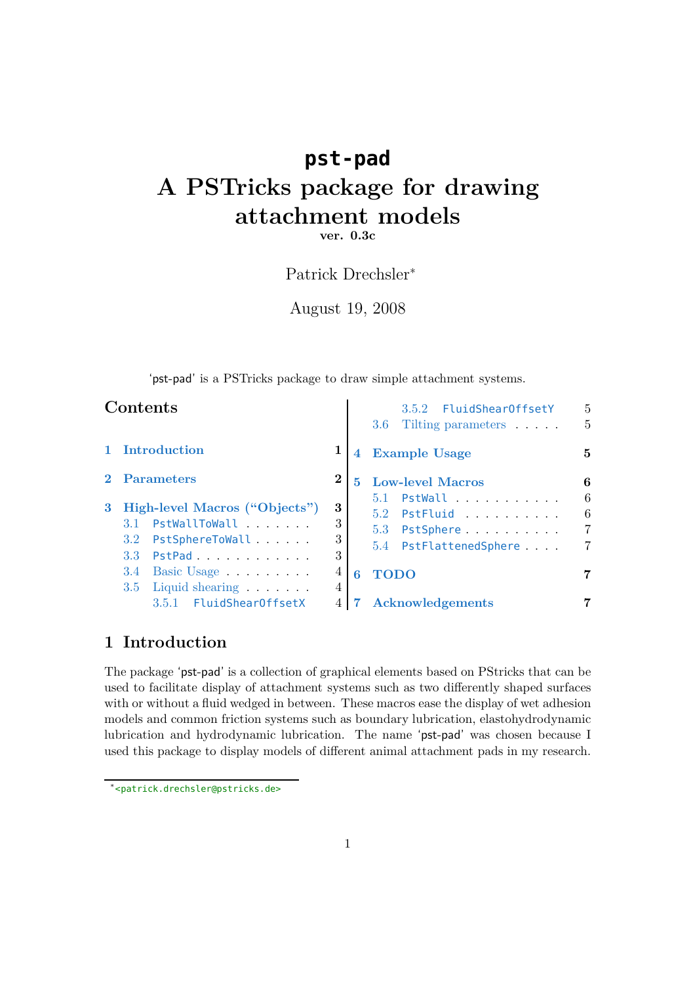# **pst-pad A PSTricks package for drawing attachment models**

**ver. 0.3c**

# Patrick Drechsler*<sup>∗</sup>*

August 19, 2008

'pst-pad' is a PSTricks package to draw simple attachment systems.

|   | Contents                                                                                                   |                              |                | 3.5.2 FluidShearOffsetY<br>Tilting parameters<br>3.6                                                     | 5<br>5                             |
|---|------------------------------------------------------------------------------------------------------------|------------------------------|----------------|----------------------------------------------------------------------------------------------------------|------------------------------------|
|   | 1 Introduction                                                                                             |                              | $\overline{4}$ | <b>Example Usage</b>                                                                                     | 5                                  |
| 3 | 2 Parameters<br>High-level Macros ("Objects")<br>3.1 PstWallToWall<br>PstSphereToWall<br>3.2<br>3.3 PstPad | $\bf{2}$<br>3<br>3<br>3<br>3 | $5^{\circ}$    | <b>Low-level Macros</b><br>$5.1$ PstWall<br>$5.2$ PstFluid<br>5.3<br>PstSphere<br>5.4 PstFlattenedSphere | 6<br>6<br>6<br>$\overline{7}$<br>7 |
|   | Basic Usage<br>3.4<br>$3.5$ Liquid shearing $\ldots$                                                       | 4<br>4                       | 6              | <b>TODO</b>                                                                                              | 7                                  |
|   | 3.5.1 FluidShearOffsetX                                                                                    |                              |                | <b>Acknowledgements</b>                                                                                  |                                    |

# <span id="page-0-0"></span>**1 Introduction**

The package 'pst-pad' is a collection of graphical elements based on PStricks that can be used to facilitate display of attachment systems such as two differently shaped surfaces with or without a fluid wedged in between. These macros ease the display of wet adhesion models and common friction systems such as boundary lubrication, elastohydrodynamic lubrication and hydrodynamic lubrication. The name 'pst-pad' was chosen because I used this package to display models of different animal attachment pads in my research.

*<sup>∗</sup>* <<patrick.drechsler@pstricks.de>>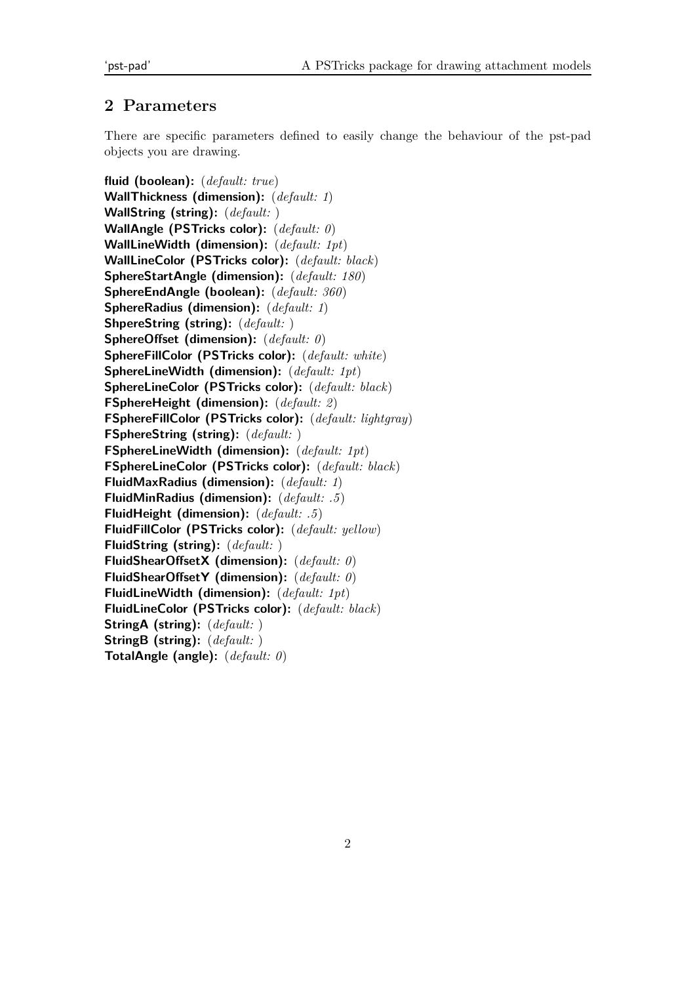# <span id="page-1-0"></span>**2 Parameters**

There are specific parameters defined to easily change the behaviour of the pst-pad objects you are drawing.

**fluid (boolean):** (*default: true*) **WallThickness (dimension):** (*default: 1*) **WallString (string):** (*default:* ) **WallAngle (PSTricks color):** (*default: 0*) **WallLineWidth (dimension):** (*default: 1pt*) **WallLineColor (PSTricks color):** (*default: black*) **SphereStartAngle (dimension):** (*default: 180*) **SphereEndAngle (boolean):** (*default: 360*) **SphereRadius (dimension):** (*default: 1*) **ShpereString (string):** (*default:* ) **SphereOffset (dimension):** (*default: 0*) **SphereFillColor (PSTricks color):** (*default: white*) **SphereLineWidth (dimension):** (*default: 1pt*) **SphereLineColor (PSTricks color):** (*default: black*) **FSphereHeight (dimension):** (*default: 2*) **FSphereFillColor (PSTricks color):** (*default: lightgray*) **FSphereString (string):** (*default:* ) **FSphereLineWidth (dimension):** (*default: 1pt*) **FSphereLineColor (PSTricks color):** (*default: black*) **FluidMaxRadius (dimension):** (*default: 1*) **FluidMinRadius (dimension):** (*default: .5*) **FluidHeight (dimension):** (*default: .5*) **FluidFillColor (PSTricks color):** (*default: yellow*) **FluidString (string):** (*default:* ) **FluidShearOffsetX (dimension):** (*default: 0*) **FluidShearOffsetY (dimension):** (*default: 0*) **FluidLineWidth (dimension):** (*default: 1pt*) **FluidLineColor (PSTricks color):** (*default: black*) **StringA (string):** (*default:* ) **StringB (string):** (*default:* ) **TotalAngle (angle):** (*default: 0*)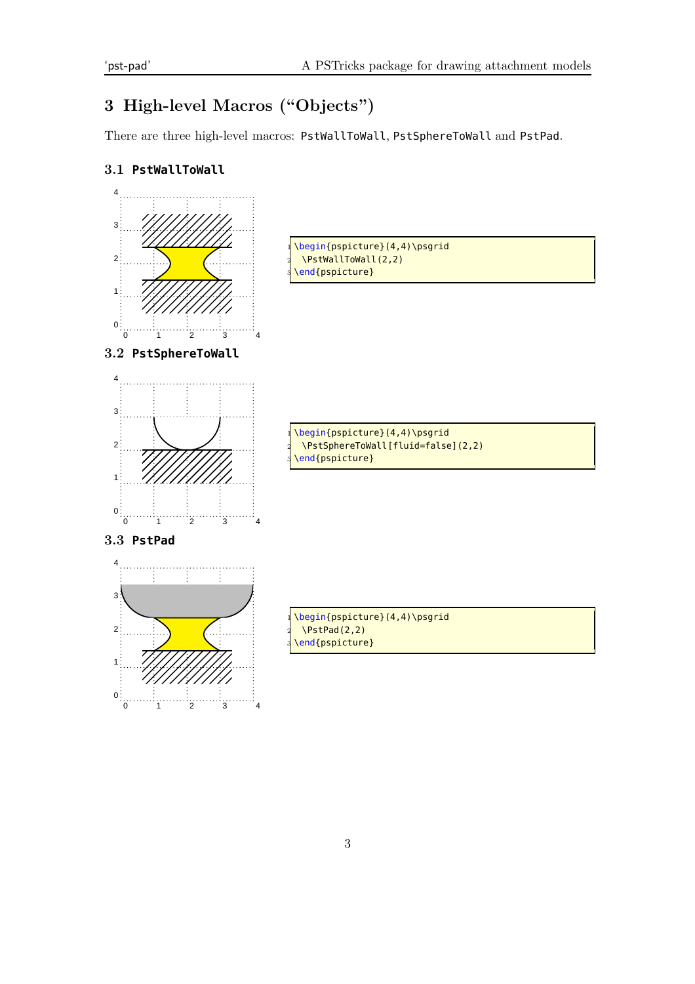# <span id="page-2-0"></span>**3 High-level Macros ("Objects")**

There are three high-level macros: PstWallToWall, PstSphereToWall and PstPad.

# <span id="page-2-1"></span>**3.1 PstWallToWall**

<span id="page-2-3"></span><span id="page-2-2"></span>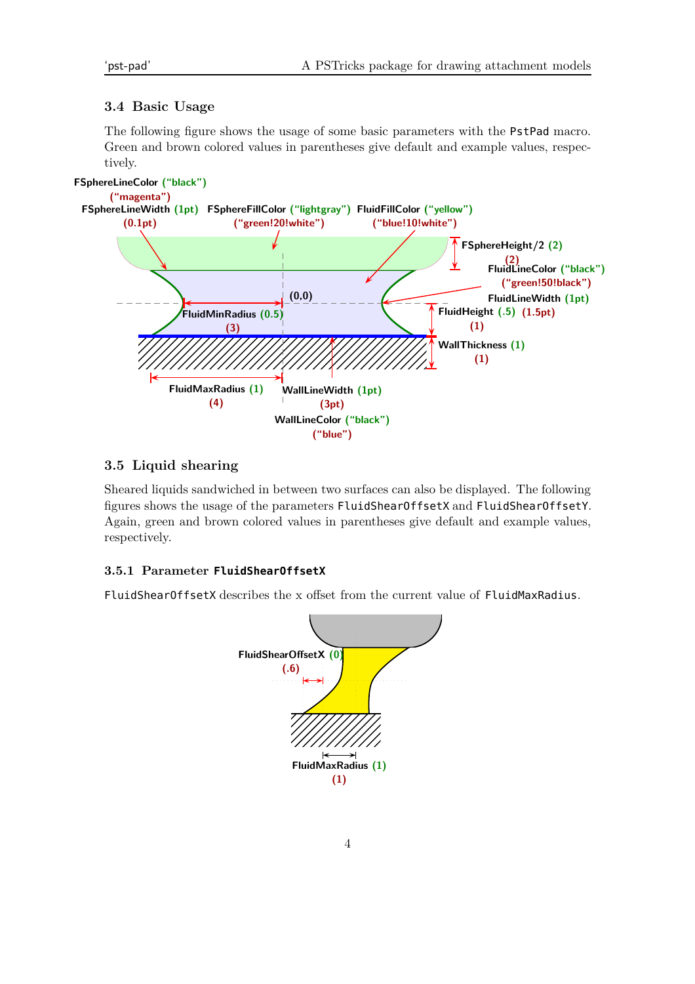#### <span id="page-3-0"></span>**3.4 Basic Usage**

The following figure shows the usage of some basic parameters with the PstPad macro. Green and brown colored values in parentheses give default and example values, respectively.



#### <span id="page-3-1"></span>**3.5 Liquid shearing**

Sheared liquids sandwiched in between two surfaces can also be displayed. The following figures shows the usage of the parameters FluidShearOffsetX and FluidShearOffsetY. Again, green and brown colored values in parentheses give default and example values, respectively.

#### <span id="page-3-2"></span>**3.5.1 Parameter FluidShearOffsetX**

<span id="page-3-3"></span>FluidShearOffsetX describes the x offset from the current value of FluidMaxRadius.

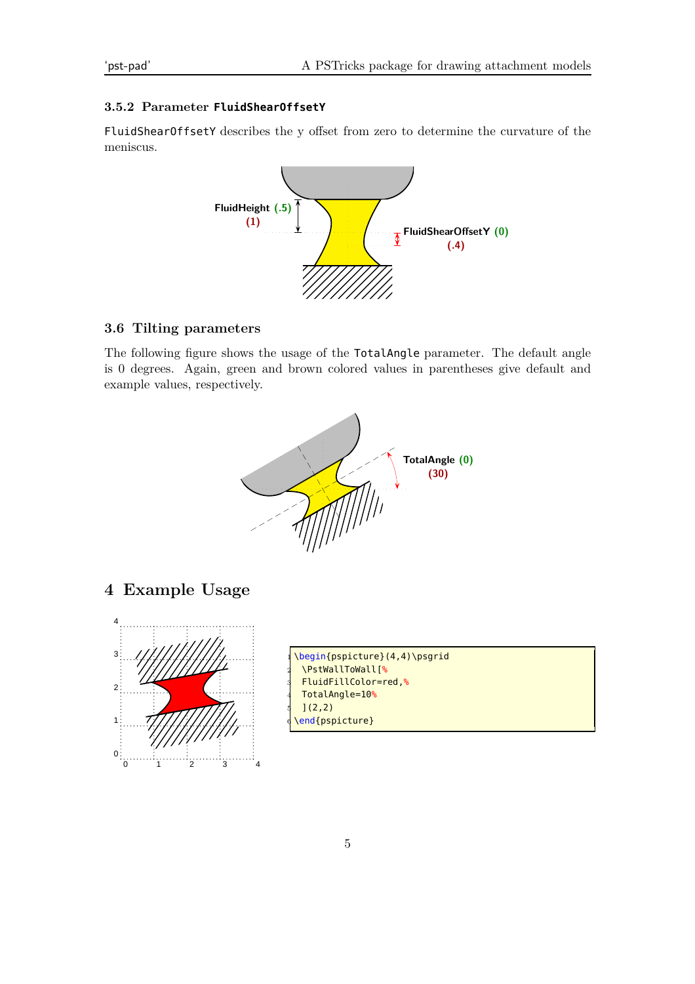#### **3.5.2 Parameter FluidShearOffsetY**

FluidShearOffsetY describes the y offset from zero to determine the curvature of the meniscus.



# <span id="page-4-0"></span>**3.6 Tilting parameters**

The following figure shows the usage of the TotalAngle parameter. The default angle is 0 degrees. Again, green and brown colored values in parentheses give default and example values, respectively.



<span id="page-4-1"></span>**4 Example Usage**



\begin{pspicture}(4,4)\psgrid 2 \PstWallToWall[% 3 FluidFillColor=red,% 4 TotalAngle=10%  $](2,2)$ \end{pspicture}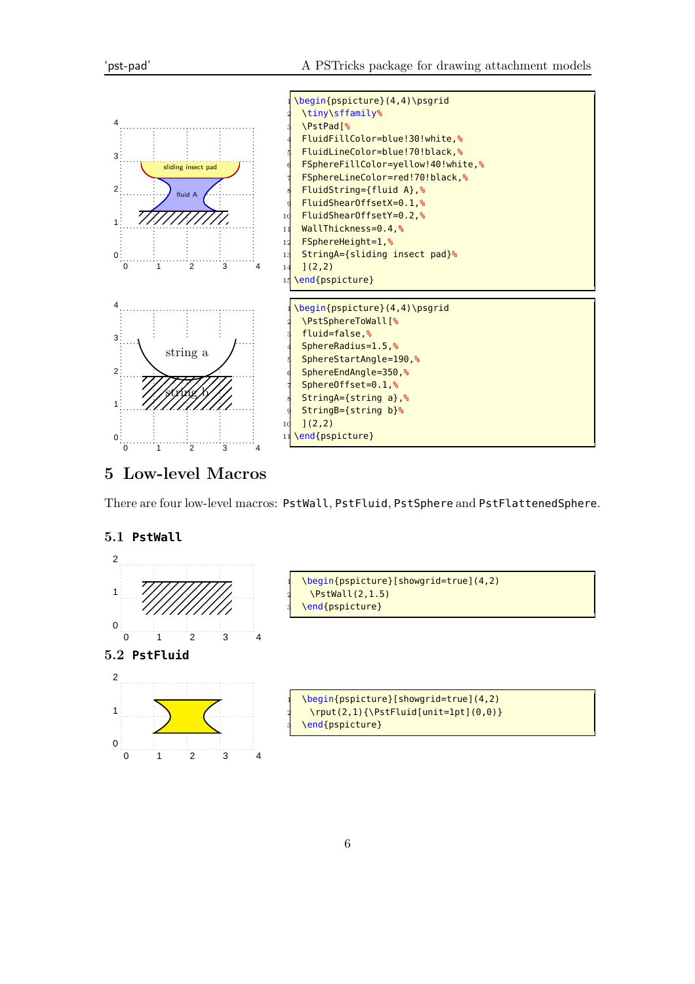

# <span id="page-5-0"></span>**5 Low-level Macros**

There are four low-level macros: PstWall, PstFluid, PstSphere and PstFlattenedSphere.

### <span id="page-5-1"></span>**5.1 PstWall**



<span id="page-5-2"></span>**5.2 PstFluid**



\begin{pspicture}[showgrid=true](4,2)  $\N$ stWall(2,1.5) \end{pspicture}

\begin{pspicture}[showgrid=true](4,2)  $\rvert(2,1)\{\Delta[unit=1pt](0,0)\}\$ \end{pspicture}